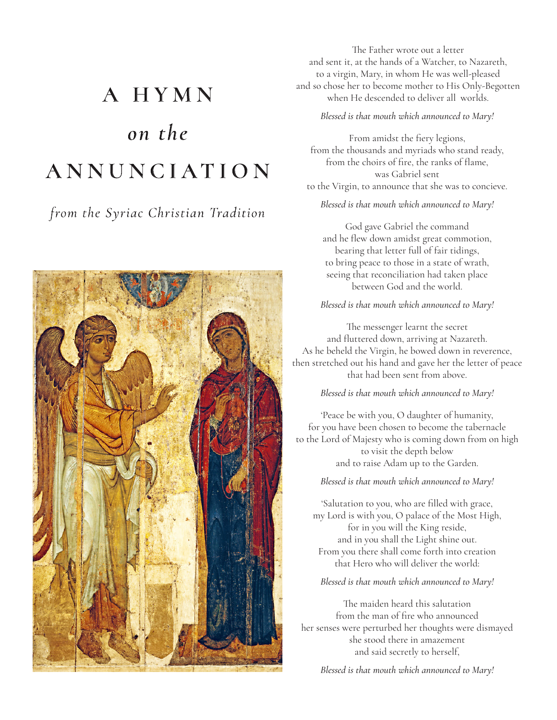# A HYMN on the ANNUNCIATION

from the Syriac Christian Tradition



The Father wrote out a letter and sent it, at the hands of a Watcher, to Nazareth, to a virgin, Mary, in whom He was well-pleased and so chose her to become mother to His Only-Begotten when He descended to deliver all worlds.

#### *Blessed is that mouth which announced to Mary!*

From amidst the fiery legions, from the thousands and myriads who stand ready, from the choirs of fire, the ranks of flame, was Gabriel sent to the Virgin, to announce that she was to concieve.

*Blessed is that mouth which announced to Mary!*

God gave Gabriel the command and he flew down amidst great commotion, bearing that letter full of fair tidings, to bring peace to those in a state of wrath, seeing that reconciliation had taken place between God and the world.

#### *Blessed is that mouth which announced to Mary!*

The messenger learnt the secret and fluttered down, arriving at Nazareth. As he beheld the Virgin, he bowed down in reverence, then stretched out his hand and gave her the letter of peace that had been sent from above.

#### *Blessed is that mouth which announced to Mary!*

'Peace be with you, O daughter of humanity, for you have been chosen to become the tabernacle to the Lord of Majesty who is coming down from on high to visit the depth below and to raise Adam up to the Garden.

#### *Blessed is that mouth which announced to Mary!*

'Salutation to you, who are filled with grace, my Lord is with you, O palace of the Most High, for in you will the King reside, and in you shall the Light shine out. From you there shall come forth into creation that Hero who will deliver the world:

#### *Blessed is that mouth which announced to Mary!*

The maiden heard this salutation from the man of fire who announced her senses were perturbed her thoughts were dismayed she stood there in amazement and said secretly to herself,

*Blessed is that mouth which announced to Mary!*